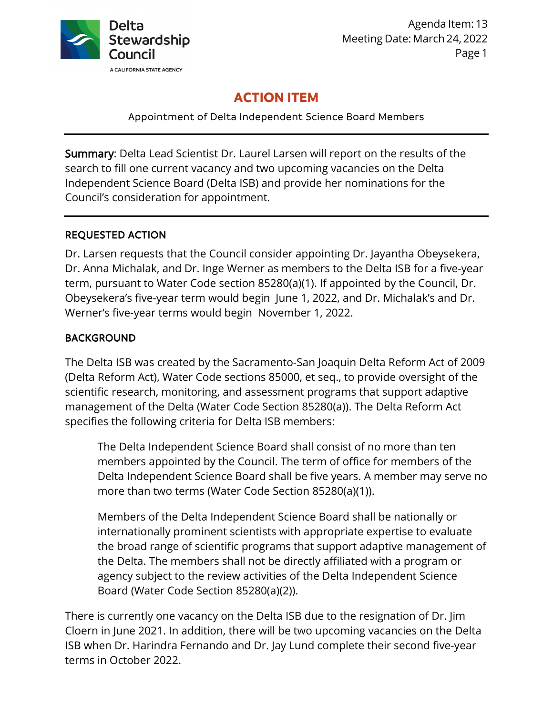

Agenda Item: 13 Meeting Date: March 24, 2022 Page 1

# **ACTION ITEM**

Appointment of Delta Independent Science Board Members

Summary: Delta Lead Scientist Dr. Laurel Larsen will report on the results of the search to fill one current vacancy and two upcoming vacancies on the Delta Independent Science Board (Delta ISB) and provide her nominations for the Council's consideration for appointment.

## REQUESTED ACTION

Dr. Larsen requests that the Council consider appointing Dr. Jayantha Obeysekera, Dr. Anna Michalak, and Dr. Inge Werner as members to the Delta ISB for a five-year term, pursuant to Water Code section 85280(a)(1). If appointed by the Council, Dr. Obeysekera's five-year term would begin June 1, 2022, and Dr. Michalak's and Dr. Werner's five-year terms would begin November 1, 2022.

## **BACKGROUND**

The Delta ISB was created by the Sacramento-San Joaquin Delta Reform Act of 2009 (Delta Reform Act), Water Code sections 85000, et seq., to provide oversight of the scientific research, monitoring, and assessment programs that support adaptive management of the Delta (Water Code Section 85280(a)). The Delta Reform Act specifies the following criteria for Delta ISB members:

The Delta Independent Science Board shall consist of no more than ten members appointed by the Council. The term of office for members of the Delta Independent Science Board shall be five years. A member may serve no more than two terms (Water Code Section 85280(a)(1)).

Members of the Delta Independent Science Board shall be nationally or internationally prominent scientists with appropriate expertise to evaluate the broad range of scientific programs that support adaptive management of the Delta. The members shall not be directly affiliated with a program or agency subject to the review activities of the Delta Independent Science Board (Water Code Section 85280(a)(2)).

There is currently one vacancy on the Delta ISB due to the resignation of Dr. Jim Cloern in June 2021. In addition, there will be two upcoming vacancies on the Delta ISB when Dr. Harindra Fernando and Dr. Jay Lund complete their second five-year terms in October 2022.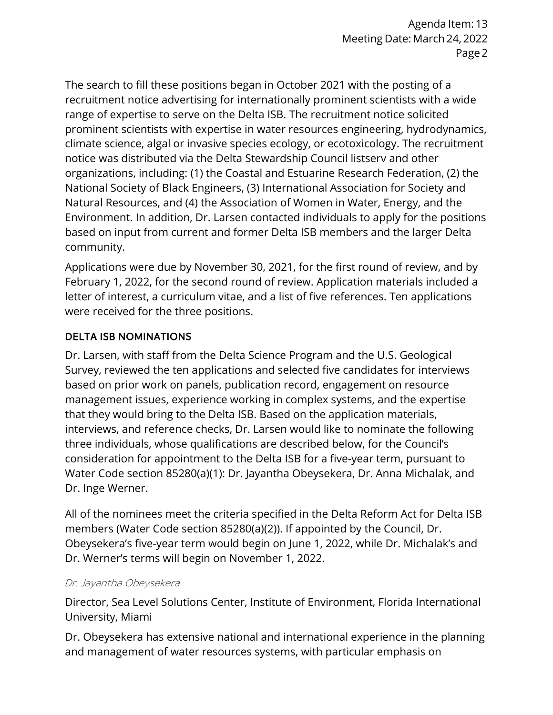The search to fill these positions began in October 2021 with the posting of a recruitment notice advertising for internationally prominent scientists with a wide range of expertise to serve on the Delta ISB. The recruitment notice solicited prominent scientists with expertise in water resources engineering, hydrodynamics, climate science, algal or invasive species ecology, or ecotoxicology. The recruitment notice was distributed via the Delta Stewardship Council listserv and other organizations, including: (1) the Coastal and Estuarine Research Federation, (2) the National Society of Black Engineers, (3) International Association for Society and Natural Resources, and (4) the Association of Women in Water, Energy, and the Environment. In addition, Dr. Larsen contacted individuals to apply for the positions based on input from current and former Delta ISB members and the larger Delta community.

Applications were due by November 30, 2021, for the first round of review, and by February 1, 2022, for the second round of review. Application materials included a letter of interest, a curriculum vitae, and a list of five references. Ten applications were received for the three positions.

## DELTA ISB NOMINATIONS

Dr. Larsen, with staff from the Delta Science Program and the U.S. Geological Survey, reviewed the ten applications and selected five candidates for interviews based on prior work on panels, publication record, engagement on resource management issues, experience working in complex systems, and the expertise that they would bring to the Delta ISB. Based on the application materials, interviews, and reference checks, Dr. Larsen would like to nominate the following three individuals, whose qualifications are described below, for the Council's consideration for appointment to the Delta ISB for a five-year term, pursuant to Water Code section 85280(a)(1): Dr. Jayantha Obeysekera, Dr. Anna Michalak, and Dr. Inge Werner.

All of the nominees meet the criteria specified in the Delta Reform Act for Delta ISB members (Water Code section 85280(a)(2)). If appointed by the Council, Dr. Obeysekera's five-year term would begin on June 1, 2022, while Dr. Michalak's and Dr. Werner's terms will begin on November 1, 2022.

## Dr. Jayantha Obeysekera

Director, Sea Level Solutions Center, Institute of Environment, Florida International University, Miami

Dr. Obeysekera has extensive national and international experience in the planning and management of water resources systems, with particular emphasis on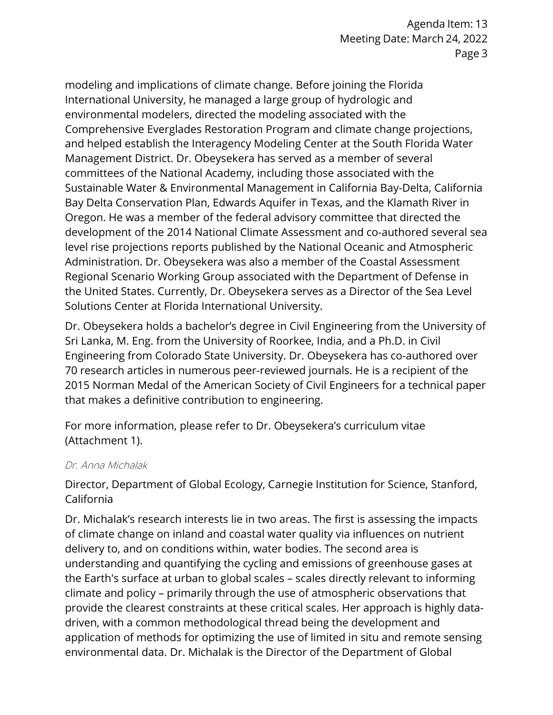modeling and implications of climate change. Before joining the Florida International University, he managed a large group of hydrologic and environmental modelers, directed the modeling associated with the Comprehensive Everglades Restoration Program and climate change projections, and helped establish the Interagency Modeling Center at the South Florida Water Management District. Dr. Obeysekera has served as a member of several committees of the National Academy, including those associated with the Sustainable Water & Environmental Management in California Bay-Delta, California Bay Delta Conservation Plan, Edwards Aquifer in Texas, and the Klamath River in Oregon. He was a member of the federal advisory committee that directed the development of the 2014 National Climate Assessment and co-authored several sea level rise projections reports published by the National Oceanic and Atmospheric Administration. Dr. Obeysekera was also a member of the Coastal Assessment Regional Scenario Working Group associated with the Department of Defense in the United States. Currently, Dr. Obeysekera serves as a Director of the Sea Level Solutions Center at Florida International University.

Dr. Obeysekera holds a bachelor's degree in Civil Engineering from the University of Sri Lanka, M. Eng. from the University of Roorkee, India, and a Ph.D. in Civil Engineering from Colorado State University. Dr. Obeysekera has co-authored over 70 research articles in numerous peer-reviewed journals. He is a recipient of the 2015 Norman Medal of the American Society of Civil Engineers for a technical paper that makes a definitive contribution to engineering.

For more information, please refer to Dr. Obeysekera's curriculum vitae (Attachment 1).

#### Dr. Anna Michalak

Director, Department of Global Ecology, Carnegie Institution for Science, Stanford, California

Dr. Michalak's research interests lie in two areas. The first is assessing the impacts of climate change on inland and coastal water quality via influences on nutrient delivery to, and on conditions within, water bodies. The second area is understanding and quantifying the cycling and emissions of greenhouse gases at the Earth's surface at urban to global scales – scales directly relevant to informing climate and policy – primarily through the use of atmospheric observations that provide the clearest constraints at these critical scales. Her approach is highly datadriven, with a common methodological thread being the development and application of methods for optimizing the use of limited in situ and remote sensing environmental data. Dr. Michalak is the Director of the Department of Global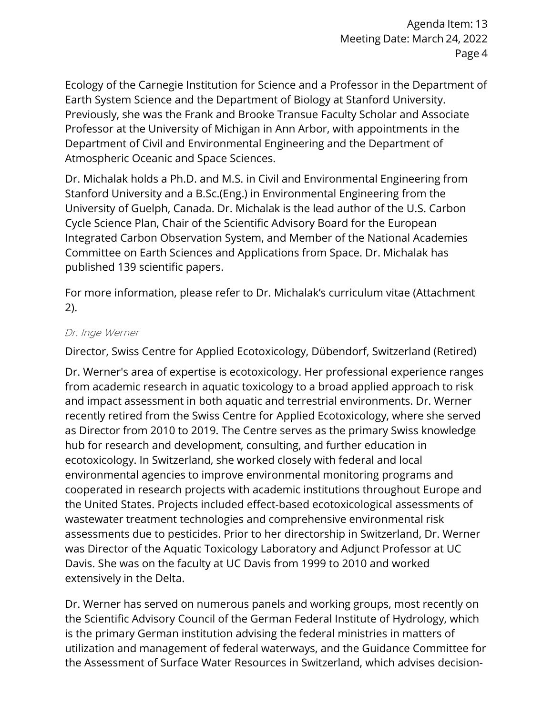Ecology of the Carnegie Institution for Science and a Professor in the Department of Earth System Science and the Department of Biology at Stanford University. Previously, she was the Frank and Brooke Transue Faculty Scholar and Associate Professor at the University of Michigan in Ann Arbor, with appointments in the Department of Civil and Environmental Engineering and the Department of Atmospheric Oceanic and Space Sciences.

Dr. Michalak holds a Ph.D. and M.S. in Civil and Environmental Engineering from Stanford University and a B.Sc.(Eng.) in Environmental Engineering from the University of Guelph, Canada. Dr. Michalak is the lead author of the U.S. Carbon Cycle Science Plan, Chair of the Scientific Advisory Board for the European Integrated Carbon Observation System, and Member of the National Academies Committee on Earth Sciences and Applications from Space. Dr. Michalak has published 139 scientific papers.

For more information, please refer to Dr. Michalak's curriculum vitae (Attachment 2).

#### Dr. Inge Werner

Director, Swiss Centre for Applied Ecotoxicology, Dübendorf, Switzerland (Retired)

Dr. Werner's area of expertise is ecotoxicology. Her professional experience ranges from academic research in aquatic toxicology to a broad applied approach to risk and impact assessment in both aquatic and terrestrial environments. Dr. Werner recently retired from the Swiss Centre for Applied Ecotoxicology, where she served as Director from 2010 to 2019. The Centre serves as the primary Swiss knowledge hub for research and development, consulting, and further education in ecotoxicology. In Switzerland, she worked closely with federal and local environmental agencies to improve environmental monitoring programs and cooperated in research projects with academic institutions throughout Europe and the United States. Projects included effect-based ecotoxicological assessments of wastewater treatment technologies and comprehensive environmental risk assessments due to pesticides. Prior to her directorship in Switzerland, Dr. Werner was Director of the Aquatic Toxicology Laboratory and Adjunct Professor at UC Davis. She was on the faculty at UC Davis from 1999 to 2010 and worked extensively in the Delta.

Dr. Werner has served on numerous panels and working groups, most recently on the Scientific Advisory Council of the German Federal Institute of Hydrology, which is the primary German institution advising the federal ministries in matters of utilization and management of federal waterways, and the Guidance Committee for the Assessment of Surface Water Resources in Switzerland, which advises decision